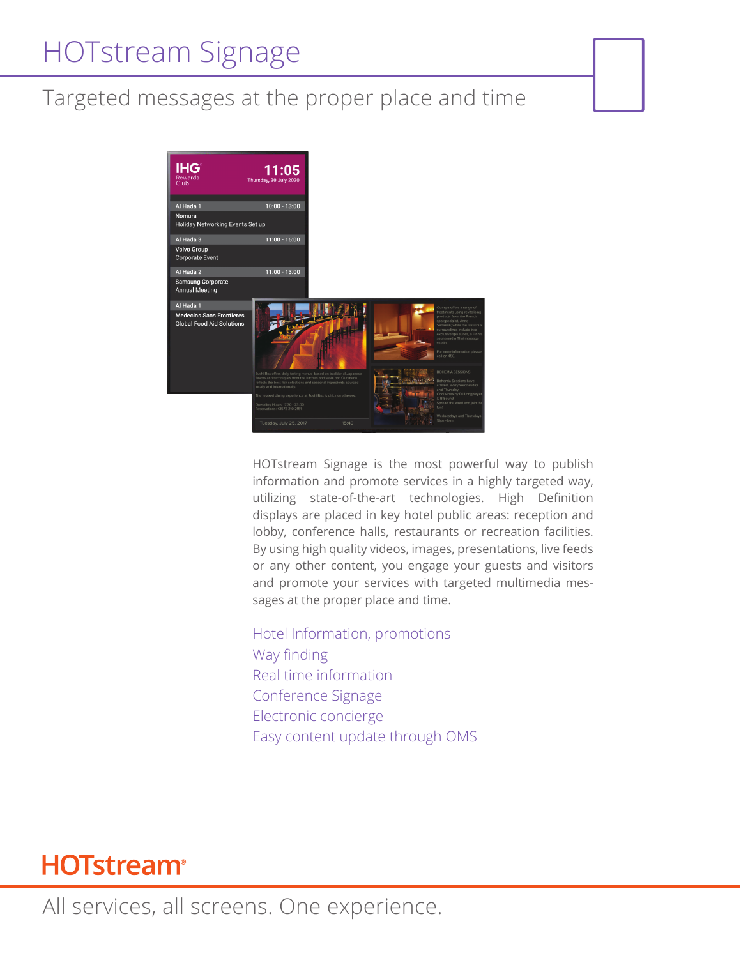# HOTstream Signage

### Targeted messages at the proper place and time



HOTstream Signage is the most powerful way to publish information and promote services in a highly targeted way, utilizing state-of-the-art technologies. High Definition displays are placed in key hotel public areas: reception and lobby, conference halls, restaurants or recreation facilities. By using high quality videos, images, presentations, live feeds or any other content, you engage your guests and visitors and promote your services with targeted multimedia messages at the proper place and time.

Hotel Information, promotions Way finding Real time information Conference Signage Electronic concierge Easy content update through OMS

## **HOTstream®**

All services, all screens. One experience.